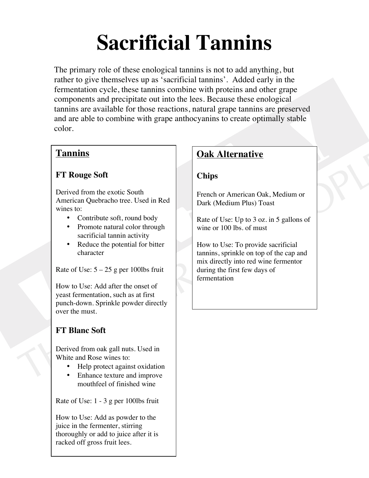# **Sacrificial Tannins**

The primary role of these enological tannins is not to add anything, but rather to give themselves up as 'sacrificial tannins'. Added early in the fermentation cycle, these tannins combine with proteins and other grape components and precipitate out into the lees. Because these enological tannins are available for those reactions, natural grape tannins are preserved and are able to combine with grape anthocyanins to create optimally stable color.

## **Tannins**

## **FT Rouge Soft**

Derived from the exotic South American Quebracho tree. Used in Red wines to:

- Contribute soft, round body
- Promote natural color through sacrificial tannin activity
- Reduce the potential for bitter character

Rate of Use:  $5 - 25$  g per 100lbs fruit

How to Use: Add after the onset of yeast fermentation, such as at first punch-down. Sprinkle powder directly over the must.

# **FT Blanc Soft**

Derived from oak gall nuts. Used in White and Rose wines to:

- Help protect against oxidation
- Enhance texture and improve mouthfeel of finished wine

Rate of Use: 1 - 3 g per 100lbs fruit

How to Use: Add as powder to the juice in the fermenter, stirring thoroughly or add to juice after it is racked off gross fruit lees.

# **Oak Alternative**

## **Chips**

French or American Oak, Medium or Dark (Medium Plus) Toast

Rate of Use: Up to 3 oz. in 5 gallons of wine or 100 lbs. of must

How to Use: To provide sacrificial tannins, sprinkle on top of the cap and mix directly into red wine fermentor during the first few days of fermentation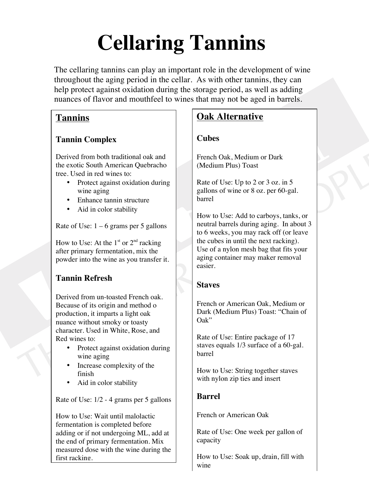# **Cellaring Tannins**

The cellaring tannins can play an important role in the development of wine throughout the aging period in the cellar. As with other tannins, they can help protect against oxidation during the storage period, as well as adding nuances of flavor and mouthfeel to wines that may not be aged in barrels.

## **Tannins**

## **Tannin Complex**

Derived from both traditional oak and the exotic South American Quebracho tree. Used in red wines to:

- Protect against oxidation during wine aging
- Enhance tannin structure
- Aid in color stability

Rate of Use:  $1 - 6$  grams per 5 gallons

How to Use: At the  $1<sup>st</sup>$  or  $2<sup>nd</sup>$  racking after primary fermentation, mix the powder into the wine as you transfer it.

# **Tannin Refresh**

Derived from un-toasted French oak. Because of its origin and method o production, it imparts a light oak nuance without smoky or toasty character. Used in White, Rose, and Red wines to:

- Protect against oxidation during wine aging
- Increase complexity of the finish
- Aid in color stability

Rate of Use: 1/2 - 4 grams per 5 gallons

How to Use: Wait until malolactic fermentation is completed before adding or if not undergoing ML, add at the end of primary fermentation. Mix measured dose with the wine during the first racking.

# **Oak Alternative**

# **Cubes**

French Oak, Medium or Dark (Medium Plus) Toast

Rate of Use: Up to 2 or 3 oz. in 5 gallons of wine or 8 oz. per 60-gal. barrel

How to Use: Add to carboys, tanks, or neutral barrels during aging. In about 3 to 6 weeks, you may rack off (or leave the cubes in until the next racking). Use of a nylon mesh bag that fits your aging container may maker removal easier.

# **Staves**

French or American Oak, Medium or Dark (Medium Plus) Toast: "Chain of Oak"

Rate of Use: Entire package of 17 staves equals 1/3 surface of a 60-gal. barrel

How to Use: String together staves with nylon zip ties and insert

# **Barrel**

French or American Oak

Rate of Use: One week per gallon of capacity

How to Use: Soak up, drain, fill with wine